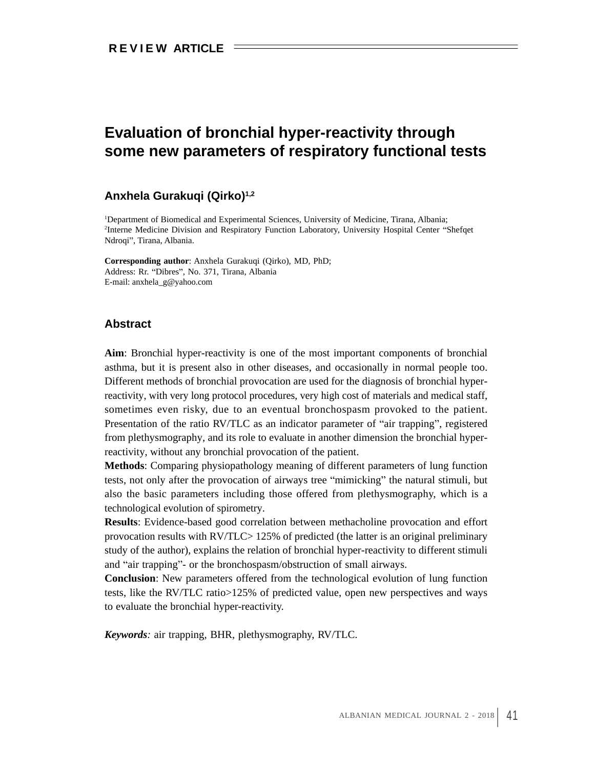## **Evaluation of bronchial hyper-reactivity through some new parameters of respiratory functional tests**

## **Anxhela Gurakuqi (Qirko)1,2**

1Department of Biomedical and Experimental Sciences, University of Medicine, Tirana, Albania; <sup>2</sup>Interne Medicine Division and Respiratory Function Laboratory, University Hospital Center "Shefqet Ndroqi", Tirana, Albania.

**Corresponding author**: Anxhela Gurakuqi (Qirko), MD, PhD; Address: Rr. "Dibres", No. 371, Tirana, Albania E-mail: anxhela\_g@yahoo.com

## **Abstract**

**Aim**: Bronchial hyper-reactivity is one of the most important components of bronchial asthma, but it is present also in other diseases, and occasionally in normal people too. Different methods of bronchial provocation are used for the diagnosis of bronchial hyperreactivity, with very long protocol procedures, very high cost of materials and medical staff, sometimes even risky, due to an eventual bronchospasm provoked to the patient. Presentation of the ratio RV/TLC as an indicator parameter of "air trapping", registered from plethysmography, and its role to evaluate in another dimension the bronchial hyperreactivity, without any bronchial provocation of the patient.

**Methods**: Comparing physiopathology meaning of different parameters of lung function tests, not only after the provocation of airways tree "mimicking" the natural stimuli, but also the basic parameters including those offered from plethysmography, which is a technological evolution of spirometry.

**Results**: Evidence-based good correlation between methacholine provocation and effort provocation results with RV/TLC> 125% of predicted (the latter is an original preliminary study of the author), explains the relation of bronchial hyper-reactivity to different stimuli and "air trapping"- or the bronchospasm/obstruction of small airways.

**Conclusion**: New parameters offered from the technological evolution of lung function tests, like the RV/TLC ratio>125% of predicted value, open new perspectives and ways to evaluate the bronchial hyper-reactivity.

*Keywords:* air trapping, BHR, plethysmography, RV/TLC.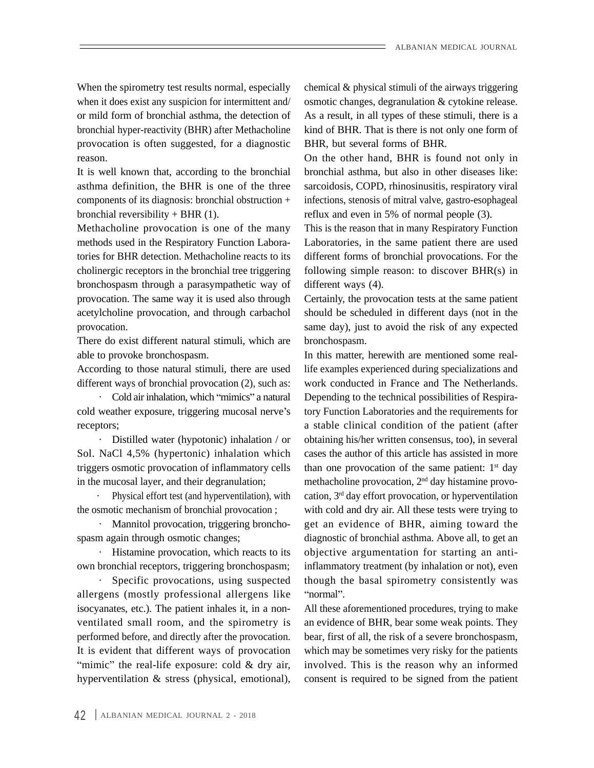provocation is often suggested, for a diagnostic

It is well known that, according to the bronchial

bronchospasm through a parasympathetic way of provocation. The same way it is used also through

There do exist different natural stimuli, which are bronchospasm.

different ways of bronchial provocation (2), such as:

Sol. NaCl 4,5% (hypertonic) inhalation which

allergens (mostly professional allergens like "normal". performed before, and directly after the provocation. hyperventilation & stress (physical, emotional), consent is required to be signed from the patient

When the spirometry test results normal, especially chemical & physical stimuli of the airways triggering when it does exist any suspicion for intermittent and/ osmotic changes, degranulation & cytokine release. or mild form of bronchial asthma, the detection of As a result, in all types of these stimuli, there is a bronchial hyper-reactivity (BHR) after Methacholine kind of BHR. That is there is not only one form of BHR, but several forms of BHR.

reason. On the other hand, BHR is found not only in asthma definition, the BHR is one of the three sarcoidosis, COPD, rhinosinusitis, respiratory viral components of its diagnosis: bronchial obstruction + infections, stenosis of mitral valve, gastro-esophageal bronchial reversibility + BHR (1). reflux and even in 5% of normal people (3). bronchial asthma, but also in other diseases like:

Methacholine provocation is one of the many This is the reason that in many Respiratory Function methods used in the Respiratory Function Labora-Laboratories, in the same patient there are used tories for BHR detection. Methacholine reacts to its different forms of bronchial provocations. For the cholinergic receptors in the bronchial tree triggering following simple reason: to discover BHR(s) in different ways (4).

acetylcholine provocation, and through carbachol should be scheduled in different days (not in the provocation. same day), just to avoid the risk of any expected Certainly, the provocation tests at the same patient bronchospasm.

able to provoke bronchospasm. In this matter, herewith are mentioned some real-According to those natural stimuli, there are used life examples experienced during specializations and Cold air inhalation, which "mimics" a natural Depending to the technical possibilities of Respiracold weather exposure, triggering mucosal nerve's tory Function Laboratories and the requirements for receptors; a stable clinical condition of the patient (after · Distilled water (hypotonic) inhalation / or obtaining his/her written consensus, too), in several triggers osmotic provocation of inflammatory cells than one provocation of the same patient: 1<sup>st</sup> day in the mucosal layer, and their degranulation; here methacholine provocation, 2<sup>nd</sup> day histamine provo- $\cdot$  Physical effort test (and hyperventilation), with cation,  $3<sup>rd</sup>$  day effort provocation, or hyperventilation the osmotic mechanism of bronchial provocation; with cold and dry air. All these tests were trying to • Mannitol provocation, triggering broncho- get an evidence of BHR, aiming toward the spasm again through osmotic changes; diagnostic of bronchial asthma. Above all, to get an · Histamine provocation, which reacts to its objective argumentation for starting an antiown bronchial receptors, triggering bronchospasm; inflammatory treatment (by inhalation or not), even · Specific provocations, using suspected though the basal spirometry consistently was work conducted in France and The Netherlands. cases the author of this article has assisted in more st day normal".

isocyanates, etc.). The patient inhales it, in a non- All these aforementioned procedures, trying to make ventilated small room, and the spirometry is an evidence of BHR, bear some weak points. They It is evident that different ways of provocation which may be sometimes very risky for the patients mimic" the real-life exposure: cold  $\&$  dry air, involved. This is the reason why an informed bear, first of all, the risk of a severe bronchospasm,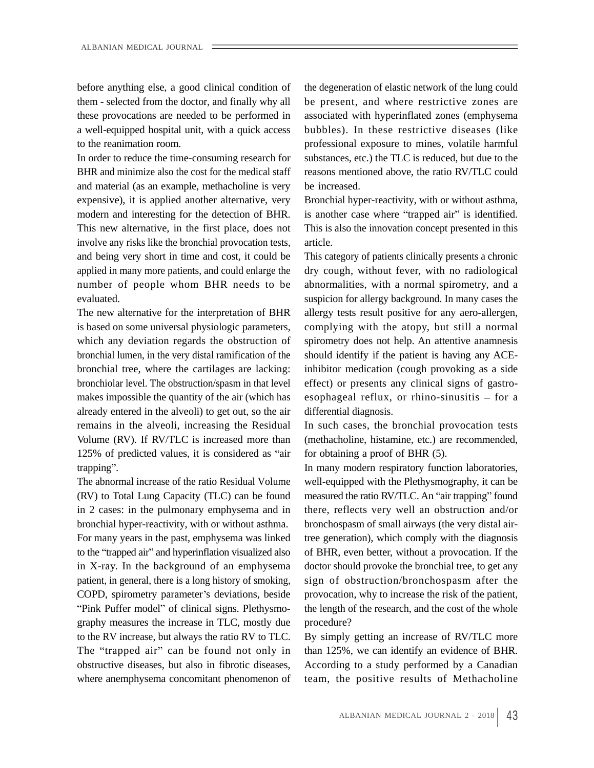before anything else, a good clinical condition of these provocations are needed to be performed in a well-equipped hospital unit, with a quick access

BHR and minimize also the cost for the medical staff and material (as an example, methacholine is very be increased. expensive), it is applied another alternative, very Bronchial hyper-reactivity, with or without asthma, modern and interesting for the detection of BHR. is another case where "trapped air" is identified. This new alternative, in the first place, does not This is also the innovation concept presented in this involve any risks like the bronchial provocation tests, and being very short in time and cost, it could be

already entered in the alveoli) to get out, so the air remains in the alveoli, increasing the Residual In such cases, the bronchial provocation tests Volume (RV). If RV/TLC is increased more than (methacholine, histamine, etc.) are recommended,  $125\%$  of predicted values, it is considered as "air for obtaining a proof of BHR  $(5)$ . trapping". The many modern respiratory function laboratories,

(RV) to Total Lung Capacity (TLC) can be found bronchial hyper-reactivity, with or without asthma. "Pink Puffer model" of clinical signs. Plethysmography measures the increase in TLC, mostly due to the RV increase, but always the ratio RV to TLC. The "trapped air" can be found not only in than 125%, we can identify an evidence of BHR. obstructive diseases, but also in fibrotic diseases, According to a study performed by a Canadian where anemphysema concomitant phenomenon of

them - selected from the doctor, and finally why all be present, and where restrictive zones are to the reanimation room. professional exposure to mines, volatile harmful In order to reduce the time-consuming research for substances, etc.) the TLC is reduced, but due to the the degeneration of elastic network of the lung could associated with hyperinflated zones (emphysema bubbles). In these restrictive diseases (like reasons mentioned above, the ratio RV/TLC could be increased.

article.

applied in many more patients, and could enlarge the dry cough, without fever, with no radiological number of people whom BHR needs to be abnormalities, with a normal spirometry, and a evaluated. suspicion for allergy background. In many cases the The new alternative for the interpretation of BHR allergy tests result positive for any aero-allergen, is based on some universal physiologic parameters, complying with the atopy, but still a normal which any deviation regards the obstruction of spirometry does not help. An attentive anamnesis bronchial lumen, in the very distal ramification of the should identify if the patient is having any ACEbronchial tree, where the cartilages are lacking: inhibitor medication (cough provoking as a side bronchiolar level. The obstruction/spasm in that level effect) or presents any clinical signs of gastro makes impossible the quantity of the air (which has esophageal reflux, or rhino-sinusitis – for a This category of patients clinically presents a chronic differential diagnosis.

for obtaining a proof of BHR (5).

The abnormal increase of the ratio Residual Volume well-equipped with the Plethysmography, it can be in 2 cases: in the pulmonary emphysema and in there, reflects very well an obstruction and/or For many years in the past, emphysema was linked tree generation), which comply with the diagnosis to the "trapped air" and hyperinflation visualized also of BHR, even better, without a provocation. If the in X-ray. In the background of an emphysema doctor should provoke the bronchial tree, to get any patient, in general, there is a long history of smoking, sign of obstruction/bronchospasm after the COPD, spirometry parameter's deviations, beside provocation, why to increase the risk of the patient, measured the ratio RV/TLC. An "air trapping" found bronchospasm of small airways (the very distal airthe length of the research, and the cost of the whole procedure?

> By simply getting an increase of RV/TLC more team, the positive results of Methacholine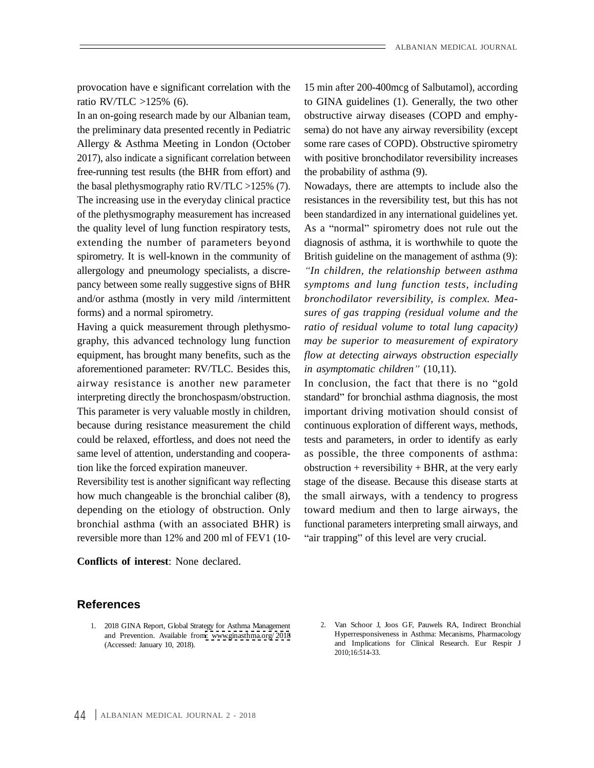provocation have e significant correlation with the 15 min after 200-400mcg of Salbutamol), according

free-running test results (the BHR from effort) and spirometry. It is well-known in the community of

aforementioned parameter: RV/TLC. Besides this, same level of attention, understanding and coopera-

ratio RV/TLC >125% (6). to GINA guidelines (1). Generally, the two other In an on-going research made by our Albanian team, obstructive airway diseases (COPD and emphy the preliminary data presented recently in Pediatric sema) do not have any airway reversibility (except Allergy & Asthma Meeting in London (October some rare cases of COPD). Obstructive spirometry 2017), also indicate a significant correlation between with positive bronchodilator reversibility increases the probability of asthma (9).

the basal plethysmography ratio RV/TLC >125% (7). Nowadays, there are attempts to include also the The increasing use in the everyday clinical practice resistances in the reversibility test, but this has not of the plethysmography measurement has increased been standardized in any international guidelines yet. the quality level of lung function respiratory tests, As a "normal" spirometry does not rule out the extending the number of parameters beyond diagnosis of asthma, it is worthwhile to quote the allergology and pneumology specialists, a discre- *In children, the relationship between asthma* pancy between some really suggestive signs of BHR *symptoms and lung function tests, including* and/or asthma (mostly in very mild /intermittent bronchodilator reversibility, is complex. Meaforms) and a normal spirometry. Sures of gas trapping (residual volume and the Having a quick measurement through plethysmo- *ratio of residual volume to total lung capacity)* graphy, this advanced technology lung function *may be superior to measurement of expiratory* equipment, has brought many benefits, such as the *flow at detecting airways obstruction especially* British guideline on the management of asthma (9): *bronchodilator reversibility, is complex. Mea-sures of gas trapping (residual volume and the in asymptomatic children*" (10,11).

airway resistance is another new parameter In conclusion, the fact that there is no "gold interpreting directly the bronchospasm/obstruction. standard" for bronchial asthma diagnosis, the most This parameter is very valuable mostly in children, important driving motivation should consist of because during resistance measurement the child continuous exploration of different ways, methods, could be relaxed, effortless, and does not need the tests and parameters, in order to identify as early tion like the forced expiration maneuver. obstruction + reversibility + BHR, at the very early Reversibility test is another significant way reflecting stage of the disease. Because this disease starts at how much changeable is the bronchial caliber (8), the small airways, with a tendency to progress depending on the etiology of obstruction. Only toward medium and then to large airways, the bronchial asthma (with an associated BHR) is functional parameters interpreting small airways, and reversible more than 12% and 200 ml of FEV1 (10- "air trapping" of this level are very crucial. as possible, the three components of asthma:

## **References**

- and Prevention. Available from: [www.ginasthma.org/](http://www.ginasthma.org/2018) 2018
- 1. 2018 GINA Report, Global Strategy for Asthma Management **References**<br>
1. 2018 GINA Report, Global Strategy for Asthma Management<br>
2. Van Schoor J, Joos GF, Pauwels RA, Indirect Bronchial<br>
and Prevention. Available from: www.ginasthma.org/2018<br>
(Accessed: January 10, 2018).<br>
1. Hyperresponsiveness in Asthma: Mecanisms, Pharmacology and Implications for Clinical Research. Eur Respir J 2010;16:514-33.